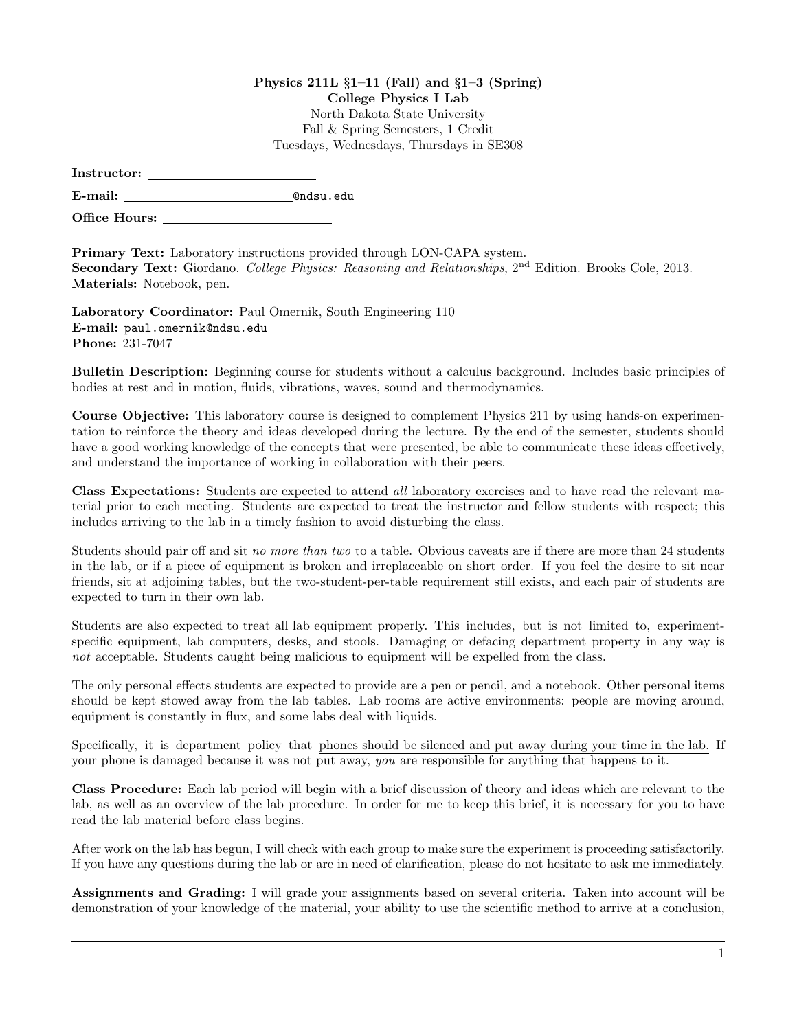## Physics 211L §1–11 (Fall) and §1–3 (Spring) College Physics I Lab North Dakota State University Fall & Spring Semesters, 1 Credit Tuesdays, Wednesdays, Thursdays in SE308

| Instructor: |  |
|-------------|--|
|             |  |

E-mail: @ndsu.edu

Office Hours:

Primary Text: Laboratory instructions provided through LON-CAPA system. Secondary Text: Giordano. College Physics: Reasoning and Relationships, 2<sup>nd</sup> Edition. Brooks Cole, 2013. Materials: Notebook, pen.

Laboratory Coordinator: Paul Omernik, South Engineering 110 E-mail: paul.omernik@ndsu.edu Phone: 231-7047

Bulletin Description: Beginning course for students without a calculus background. Includes basic principles of bodies at rest and in motion, fluids, vibrations, waves, sound and thermodynamics.

Course Objective: This laboratory course is designed to complement Physics 211 by using hands-on experimentation to reinforce the theory and ideas developed during the lecture. By the end of the semester, students should have a good working knowledge of the concepts that were presented, be able to communicate these ideas effectively, and understand the importance of working in collaboration with their peers.

Class Expectations: Students are expected to attend all laboratory exercises and to have read the relevant material prior to each meeting. Students are expected to treat the instructor and fellow students with respect; this includes arriving to the lab in a timely fashion to avoid disturbing the class.

Students should pair off and sit no more than two to a table. Obvious caveats are if there are more than 24 students in the lab, or if a piece of equipment is broken and irreplaceable on short order. If you feel the desire to sit near friends, sit at adjoining tables, but the two-student-per-table requirement still exists, and each pair of students are expected to turn in their own lab.

Students are also expected to treat all lab equipment properly. This includes, but is not limited to, experimentspecific equipment, lab computers, desks, and stools. Damaging or defacing department property in any way is not acceptable. Students caught being malicious to equipment will be expelled from the class.

The only personal effects students are expected to provide are a pen or pencil, and a notebook. Other personal items should be kept stowed away from the lab tables. Lab rooms are active environments: people are moving around, equipment is constantly in flux, and some labs deal with liquids.

Specifically, it is department policy that phones should be silenced and put away during your time in the lab. If your phone is damaged because it was not put away, you are responsible for anything that happens to it.

Class Procedure: Each lab period will begin with a brief discussion of theory and ideas which are relevant to the lab, as well as an overview of the lab procedure. In order for me to keep this brief, it is necessary for you to have read the lab material before class begins.

After work on the lab has begun, I will check with each group to make sure the experiment is proceeding satisfactorily. If you have any questions during the lab or are in need of clarification, please do not hesitate to ask me immediately.

Assignments and Grading: I will grade your assignments based on several criteria. Taken into account will be demonstration of your knowledge of the material, your ability to use the scientific method to arrive at a conclusion,